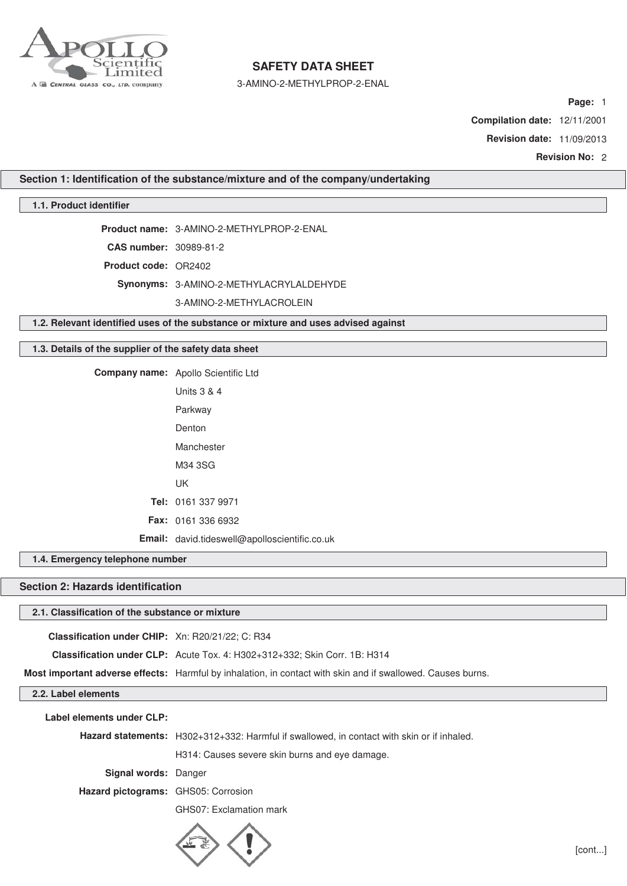

3-AMINO-2-METHYLPROP-2-ENAL

**Page:** 1

**Compilation date:** 12/11/2001

**Revision date:** 11/09/2013

**Revision No:** 2

**Section 1: Identification of the substance/mixture and of the company/undertaking**

## **1.1. Product identifier**

**Product name:** 3-AMINO-2-METHYLPROP-2-ENAL

**CAS number:** 30989-81-2

**Product code:** OR2402

**Synonyms:** 3-AMINO-2-METHYLACRYLALDEHYDE

3-AMINO-2-METHYLACROLEIN

**1.2. Relevant identified uses of the substance or mixture and uses advised against**

## **1.3. Details of the supplier of the safety data sheet**

**Company name:** Apollo Scientific Ltd

| Units 3 & 4                                   |
|-----------------------------------------------|
| Parkway                                       |
| Denton                                        |
| Manchester                                    |
| M34 3SG                                       |
| UK                                            |
| Tel: 0161 337 9971                            |
| <b>Fax: 0161 336 6932</b>                     |
| Email: david.tideswell@apolloscientific.co.uk |

### **1.4. Emergency telephone number**

# **Section 2: Hazards identification**

## **2.1. Classification of the substance or mixture**

| <b>Classification under CHIP:</b> Xn: R20/21/22; C: R34 |                                                                                                             |
|---------------------------------------------------------|-------------------------------------------------------------------------------------------------------------|
|                                                         | <b>Classification under CLP:</b> Acute Tox. 4: H302+312+332; Skin Corr. 1B: H314                            |
|                                                         | Most important adverse effects: Harmful by inhalation, in contact with skin and if swallowed. Causes burns. |
| 2.2. Label elements                                     |                                                                                                             |

**Label elements under CLP:**

**Hazard statements:** H302+312+332: Harmful if swallowed, in contact with skin or if inhaled.

H314: Causes severe skin burns and eye damage.

**Signal words:** Danger

**Hazard pictograms:** GHS05: Corrosion

GHS07: Exclamation mark

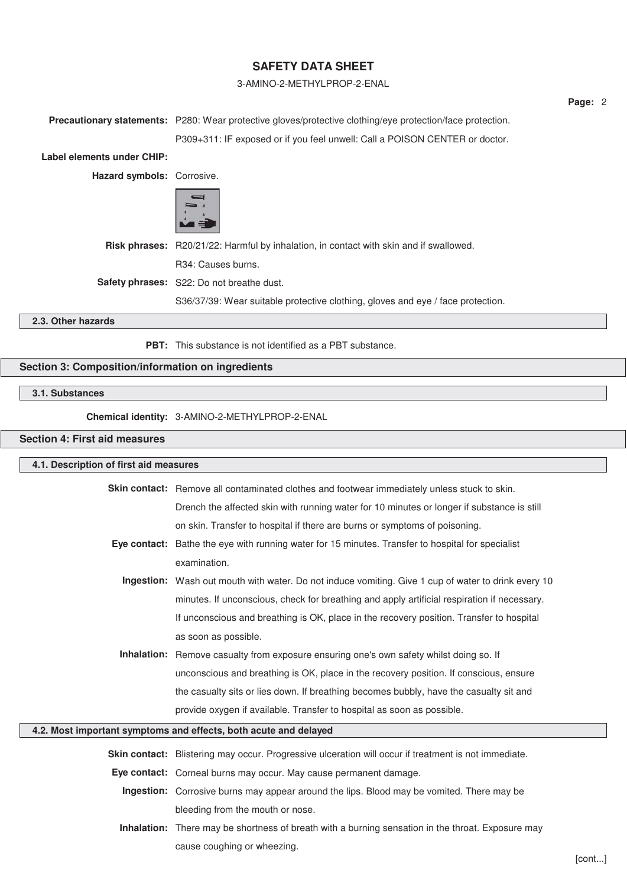### 3-AMINO-2-METHYLPROP-2-ENAL

**Precautionary statements:** P280: Wear protective gloves/protective clothing/eye protection/face protection.

P309+311: IF exposed or if you feel unwell: Call a POISON CENTER or doctor.

**Label elements under CHIP:**

**Hazard symbols:** Corrosive.



**Risk phrases:** R20/21/22: Harmful by inhalation, in contact with skin and if swallowed. R34: Causes burns. **Safety phrases:** S22: Do not breathe dust.

S36/37/39: Wear suitable protective clothing, gloves and eye / face protection.

# **2.3. Other hazards**

**PBT:** This substance is not identified as a PBT substance.

# **Section 3: Composition/information on ingredients**

# **3.1. Substances**

**Chemical identity:** 3-AMINO-2-METHYLPROP-2-ENAL

# **Section 4: First aid measures**

| 4.1. Description of first aid measures                           |                                                                                                      |  |
|------------------------------------------------------------------|------------------------------------------------------------------------------------------------------|--|
|                                                                  | <b>Skin contact:</b> Remove all contaminated clothes and footwear immediately unless stuck to skin.  |  |
|                                                                  | Drench the affected skin with running water for 10 minutes or longer if substance is still           |  |
|                                                                  | on skin. Transfer to hospital if there are burns or symptoms of poisoning.                           |  |
|                                                                  | Eye contact: Bathe the eye with running water for 15 minutes. Transfer to hospital for specialist    |  |
|                                                                  | examination.                                                                                         |  |
|                                                                  | Ingestion: Wash out mouth with water. Do not induce vomiting. Give 1 cup of water to drink every 10  |  |
|                                                                  | minutes. If unconscious, check for breathing and apply artificial respiration if necessary.          |  |
|                                                                  | If unconscious and breathing is OK, place in the recovery position. Transfer to hospital             |  |
|                                                                  | as soon as possible.                                                                                 |  |
|                                                                  | <b>Inhalation:</b> Remove casualty from exposure ensuring one's own safety whilst doing so. If       |  |
|                                                                  | unconscious and breathing is OK, place in the recovery position. If conscious, ensure                |  |
|                                                                  | the casualty sits or lies down. If breathing becomes bubbly, have the casualty sit and               |  |
|                                                                  | provide oxygen if available. Transfer to hospital as soon as possible.                               |  |
| 4.2. Most important symptoms and effects, both acute and delayed |                                                                                                      |  |
|                                                                  | Skin contact: Blistering may occur. Progressive ulceration will occur if treatment is not immediate. |  |
|                                                                  | Eye contact: Corneal burns may occur. May cause permanent damage.                                    |  |
|                                                                  | <b>Ingestion:</b> Corrosive burns may appear around the lips. Blood may be vomited. There may be     |  |

bleeding from the mouth or nose.

**Inhalation:** There may be shortness of breath with a burning sensation in the throat. Exposure may cause coughing or wheezing.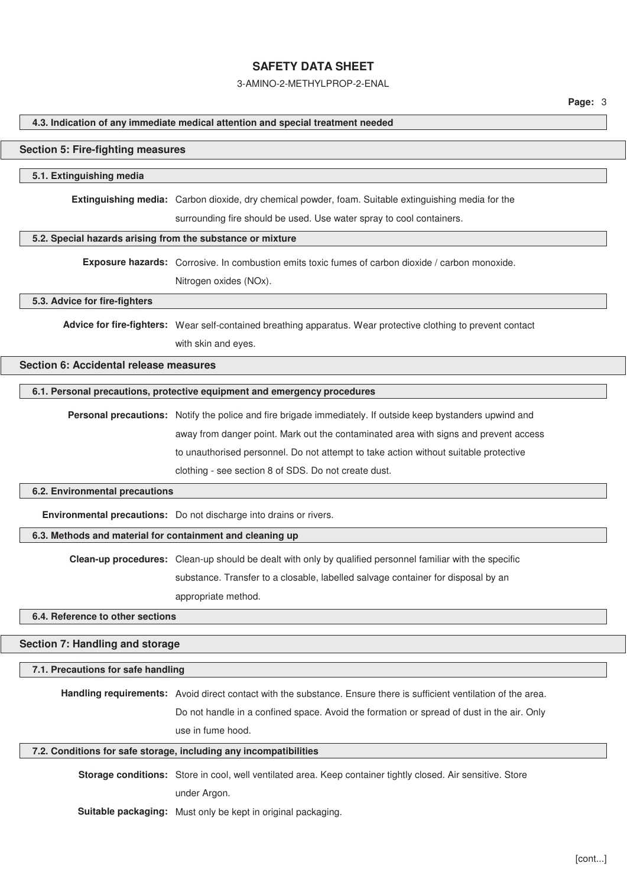3-AMINO-2-METHYLPROP-2-ENAL

#### **4.3. Indication of any immediate medical attention and special treatment needed**

#### **Section 5: Fire-fighting measures**

#### **5.1. Extinguishing media**

**Extinguishing media:** Carbon dioxide, dry chemical powder, foam. Suitable extinguishing media for the

surrounding fire should be used. Use water spray to cool containers.

#### **5.2. Special hazards arising from the substance or mixture**

**Exposure hazards:** Corrosive. In combustion emits toxic fumes of carbon dioxide / carbon monoxide. Nitrogen oxides (NOx).

#### **5.3. Advice for fire-fighters**

**Advice for fire-fighters:** Wear self-contained breathing apparatus. Wear protective clothing to prevent contact with skin and eyes.

## **Section 6: Accidental release measures**

#### **6.1. Personal precautions, protective equipment and emergency procedures**

**Personal precautions:** Notify the police and fire brigade immediately. If outside keep bystanders upwind and away from danger point. Mark out the contaminated area with signs and prevent access to unauthorised personnel. Do not attempt to take action without suitable protective clothing - see section 8 of SDS. Do not create dust.

#### **6.2. Environmental precautions**

**Environmental precautions:** Do not discharge into drains or rivers.

## **6.3. Methods and material for containment and cleaning up**

**Clean-up procedures:** Clean-up should be dealt with only by qualified personnel familiar with the specific

substance. Transfer to a closable, labelled salvage container for disposal by an

appropriate method.

### **6.4. Reference to other sections**

## **Section 7: Handling and storage**

#### **7.1. Precautions for safe handling**

**Handling requirements:** Avoid direct contact with the substance. Ensure there is sufficient ventilation of the area. Do not handle in a confined space. Avoid the formation or spread of dust in the air. Only use in fume hood.

#### **7.2. Conditions for safe storage, including any incompatibilities**

**Storage conditions:** Store in cool, well ventilated area. Keep container tightly closed. Air sensitive. Store under Argon.

**Suitable packaging:** Must only be kept in original packaging.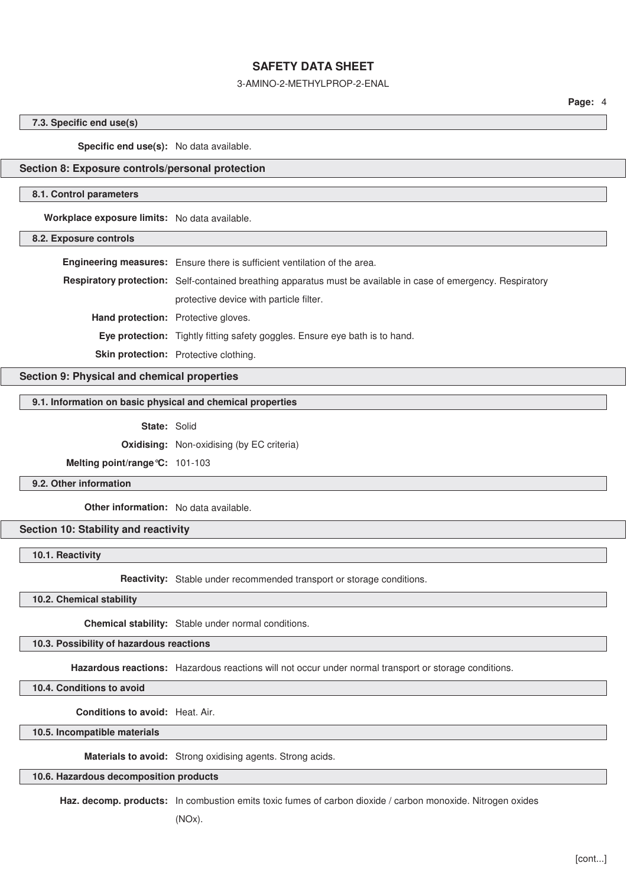### 3-AMINO-2-METHYLPROP-2-ENAL

**Page:** 4

#### **7.3. Specific end use(s)**

**Specific end use(s):** No data available.

### **Section 8: Exposure controls/personal protection**

#### **8.1. Control parameters**

**Workplace exposure limits:** No data available.

### **8.2. Exposure controls**

|                                            | Engineering measures: Ensure there is sufficient ventilation of the area.                                             |
|--------------------------------------------|-----------------------------------------------------------------------------------------------------------------------|
|                                            | <b>Respiratory protection:</b> Self-contained breathing apparatus must be available in case of emergency. Respiratory |
|                                            | protective device with particle filter.                                                                               |
| <b>Hand protection:</b> Protective gloves. |                                                                                                                       |
|                                            | <b>Eye protection:</b> Tightly fitting safety goggles. Ensure eye bath is to hand.                                    |
|                                            | Skin protection: Protective clothing.                                                                                 |

**Section 9: Physical and chemical properties**

### **9.1. Information on basic physical and chemical properties**

**State:** Solid

**Oxidising:** Non-oxidising (by EC criteria)

**Melting point/range°C:** 101-103

**9.2. Other information**

**Other information:** No data available.

### **Section 10: Stability and reactivity**

**10.1. Reactivity**

**Reactivity:** Stable under recommended transport or storage conditions.

**10.2. Chemical stability**

**Chemical stability:** Stable under normal conditions.

**10.3. Possibility of hazardous reactions**

**Hazardous reactions:** Hazardous reactions will not occur under normal transport or storage conditions.

**10.4. Conditions to avoid**

**Conditions to avoid:** Heat. Air.

**10.5. Incompatible materials**

**Materials to avoid:** Strong oxidising agents. Strong acids.

## **10.6. Hazardous decomposition products**

**Haz. decomp. products:** In combustion emits toxic fumes of carbon dioxide / carbon monoxide. Nitrogen oxides

(NOx).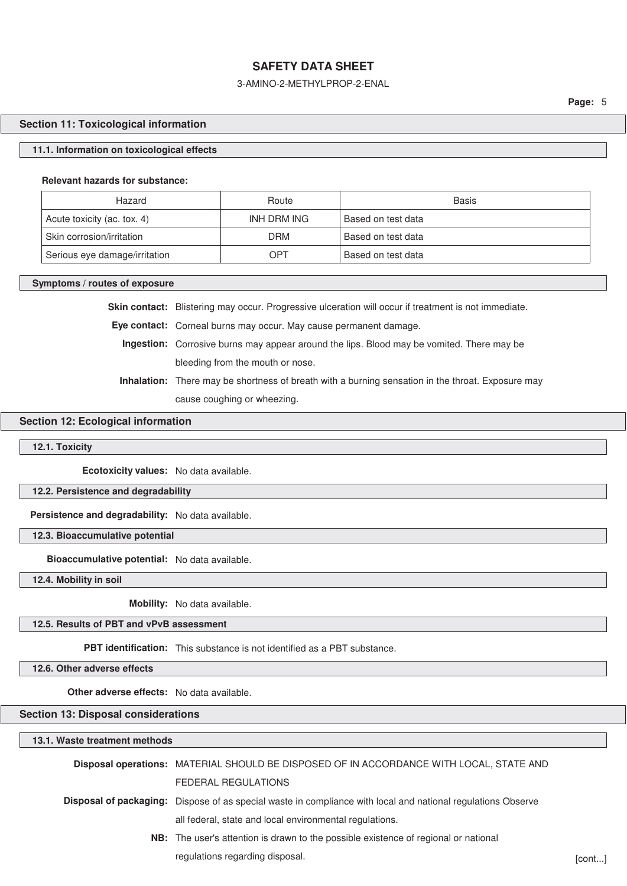## 3-AMINO-2-METHYLPROP-2-ENAL

### **Section 11: Toxicological information**

#### **11.1. Information on toxicological effects**

#### **Relevant hazards for substance:**

| Hazard                        | Route       | <b>Basis</b>       |
|-------------------------------|-------------|--------------------|
| Acute toxicity (ac. tox. 4)   | INH DRM ING | Based on test data |
| Skin corrosion/irritation     | <b>DRM</b>  | Based on test data |
| Serious eye damage/irritation | OPT         | Based on test data |

#### **Symptoms / routes of exposure**

Skin contact: Blistering may occur. Progressive ulceration will occur if treatment is not immediate.

**Eye contact:** Corneal burns may occur. May cause permanent damage.

**Ingestion:** Corrosive burns may appear around the lips. Blood may be vomited. There may be bleeding from the mouth or nose.

**Inhalation:** There may be shortness of breath with a burning sensation in the throat. Exposure may cause coughing or wheezing.

## **Section 12: Ecological information**

### **12.1. Toxicity**

**Ecotoxicity values:** No data available.

**12.2. Persistence and degradability**

**Persistence and degradability:** No data available.

**12.3. Bioaccumulative potential**

**Bioaccumulative potential:** No data available.

**12.4. Mobility in soil**

**Mobility:** No data available.

## **12.5. Results of PBT and vPvB assessment**

**PBT identification:** This substance is not identified as a PBT substance.

**12.6. Other adverse effects**

**Other adverse effects:** No data available.

**Section 13: Disposal considerations**

| 13.1. Waste treatment methods |                                                                                                                     |        |
|-------------------------------|---------------------------------------------------------------------------------------------------------------------|--------|
|                               | Disposal operations: MATERIAL SHOULD BE DISPOSED OF IN ACCORDANCE WITH LOCAL, STATE AND                             |        |
|                               | FEDERAL REGULATIONS                                                                                                 |        |
|                               | <b>Disposal of packaging:</b> Dispose of as special waste in compliance with local and national regulations Observe |        |
|                               | all federal, state and local environmental regulations.                                                             |        |
|                               | NB: The user's attention is drawn to the possible existence of regional or national                                 |        |
|                               | regulations regarding disposal.                                                                                     | [cont] |
|                               |                                                                                                                     |        |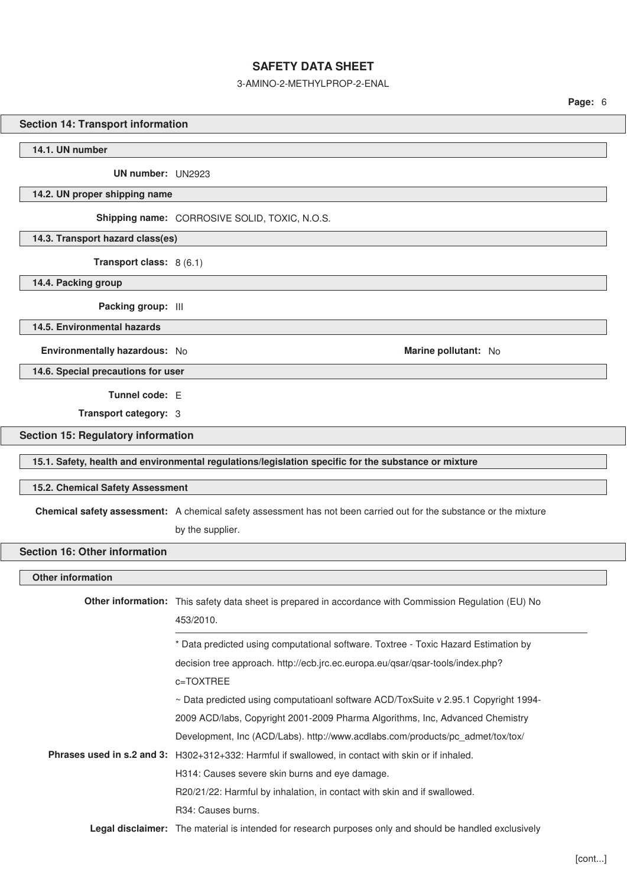### 3-AMINO-2-METHYLPROP-2-ENAL

#### **Section 14: Transport information**

**14.1. UN number**

**UN number:** UN2923

**14.2. UN proper shipping name**

**Shipping name:** CORROSIVE SOLID, TOXIC, N.O.S.

**14.3. Transport hazard class(es)**

**Transport class:** 8 (6.1)

**14.4. Packing group**

**Packing group:** III

**14.5. Environmental hazards**

**Environmentally hazardous:** No **Marine pollutant:** No **Marine pollutant:** No

**14.6. Special precautions for user**

**Tunnel code:** E

**Transport category:** 3

## **Section 15: Regulatory information**

**15.1. Safety, health and environmental regulations/legislation specific for the substance or mixture**

#### **15.2. Chemical Safety Assessment**

**Chemical safety assessment:** A chemical safety assessment has not been carried out for the substance or the mixture

by the supplier.

### **Section 16: Other information**

## **Other information**

| <b>Other information:</b> This safety data sheet is prepared in accordance with Commission Regulation (EU) No<br>453/2010. |
|----------------------------------------------------------------------------------------------------------------------------|
| * Data predicted using computational software. Toxtree - Toxic Hazard Estimation by                                        |
| decision tree approach. http://ecb.jrc.ec.europa.eu/qsar/qsar-tools/index.php?                                             |
| c=TOXTREE                                                                                                                  |
| $\sim$ Data predicted using computatioanl software ACD/ToxSuite v 2.95.1 Copyright 1994-                                   |
| 2009 ACD/labs, Copyright 2001-2009 Pharma Algorithms, Inc, Advanced Chemistry                                              |
| Development, Inc (ACD/Labs). http://www.acdlabs.com/products/pc admet/tox/tox/                                             |
| Phrases used in s.2 and 3: H302+312+332: Harmful if swallowed, in contact with skin or if inhaled.                         |
| H314: Causes severe skin burns and eye damage.                                                                             |
| R20/21/22: Harmful by inhalation, in contact with skin and if swallowed.                                                   |
| R34: Causes burns.                                                                                                         |
| Legal disclaimer: The material is intended for research purposes only and should be handled exclusively                    |